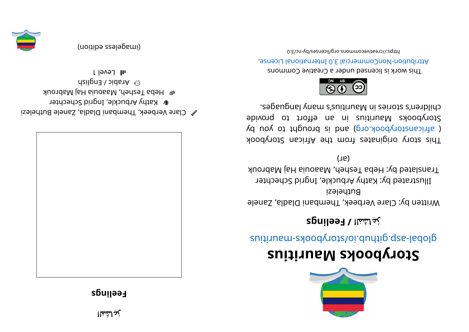## **Eeelings**



 $\mathscr{C}$  Clare Verbeek, Thembani Diadla, Zanele Buthelezi **&** Kathy Arbuckle, Ingrid Schechter e Heps Tesheh, Maaouia Haj Mabrouk

 $\hat{\mathsf{m}}$  Arabish  $\hat{\mathsf{m}}$ l level 1

(imageless edition)









## **<sup>s</sup> ui ti r ua Mskoobyr otS**

suitius ratio day of chains and the syncastic suiting

## **رُعِاشَمَلا /eeF sgnil**

Written by: Clare Verbeek, Thembani Dladla, Zanele Buthelezi Illustrated by: Kathy Arbuckle, Ingrid Schechter Translated by: Heba Tesheh, Maaouia Haj Mabrouk

 $(16)$ 

kood yoof a sing in and work set and work sid and a single single single single single single single ye use of the solve of the puor signal parameter of a parameter of  $\alpha$  parameter  $\beta$ Storybooks Mauritius in an effort to provide children's stories in Mauritius's many languages.



This work is licensed under a Creative Commons Attribution-NonCommercial 3.0 International License.

0. Elon-vdl esemento. org/licenses/day-nc/3.0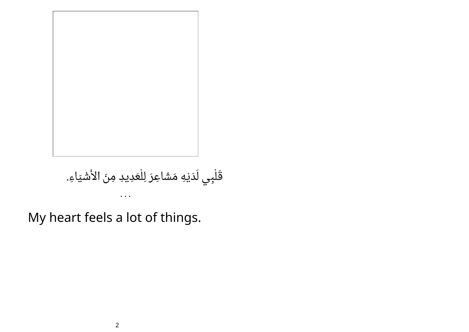

## قَلْبِي لَدَيْهِ مَشَاعِرَ لِلْعَدِيدِ مِنَ الأَشْيَاءِ. • • •

My heart feels a lot of things.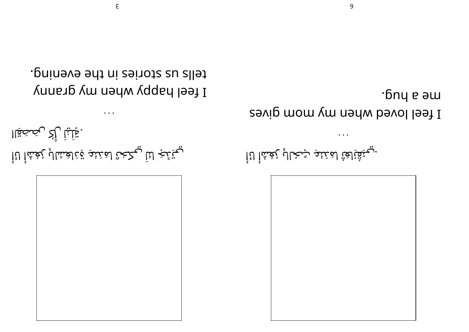tells us stories in the evening. I feel happy values up yours

 $\epsilon$ 

. تِلْلِيْاْ رِأْكُ رِبْصَحْقَاا يختضج لنآ يكخث لمننئو قذلغشالب بغشأ لنأ

·bny e aw I feel loved when wom gives

 $\ddot{\phantom{a}}$